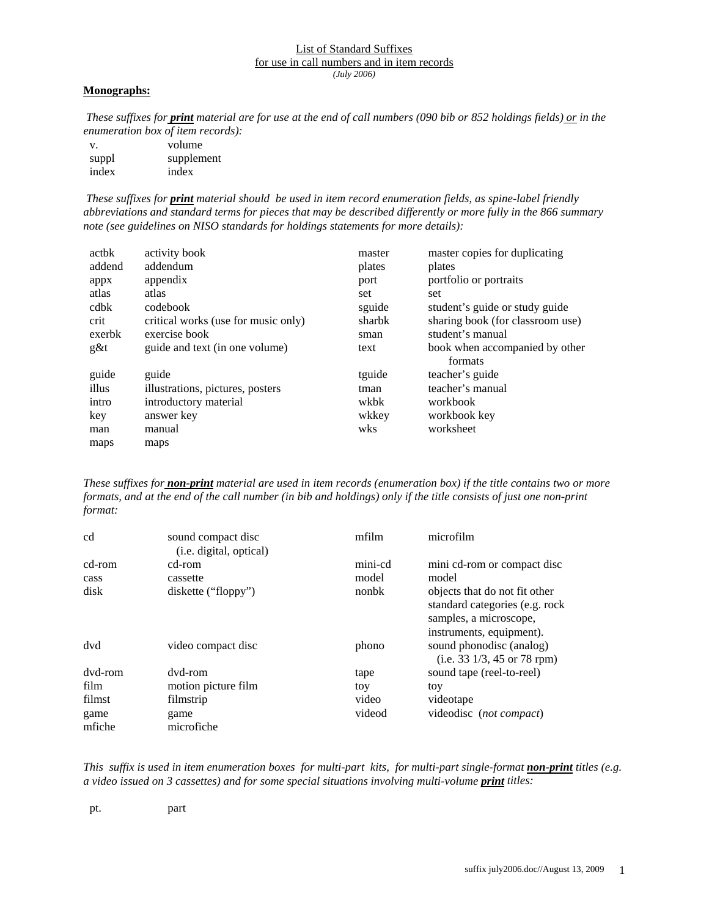## List of Standard Suffixes for use in call numbers and in item records *(July 2006)*

## **Monographs:**

*These suffixes for print material are for use at the end of call numbers (090 bib or 852 holdings fields) or in the enumeration box of item records):*

| V.    | volume     |
|-------|------------|
| suppl | supplement |
| index | index      |

*These suffixes for print material should be used in item record enumeration fields, as spine-label friendly abbreviations and standard terms for pieces that may be described differently or more fully in the 866 summary note (see guidelines on NISO standards for holdings statements for more details):* 

| actbk  | activity book                       | master | master copies for duplicating    |
|--------|-------------------------------------|--------|----------------------------------|
| addend | addendum                            | plates | plates                           |
| appx   | appendix                            | port   | portfolio or portraits           |
| atlas  | atlas                               | set    | set                              |
| cdbk   | codebook                            | sguide | student's guide or study guide   |
| crit   | critical works (use for music only) | sharbk | sharing book (for classroom use) |
| exerbk | exercise book                       | sman   | student's manual                 |
| $g\&t$ | guide and text (in one volume)      | text   | book when accompanied by other   |
|        |                                     |        | formats                          |
| guide  | guide                               | tguide | teacher's guide                  |
| illus  | illustrations, pictures, posters    | tman   | teacher's manual                 |
| intro  | introductory material               | wkbk   | workbook                         |
| key    | answer key                          | wkkey  | workbook key                     |
| man    | manual                              | wks    | worksheet                        |
| maps   | maps                                |        |                                  |

*These suffixes for non-print material are used in item records (enumeration box) if the title contains two or more formats, and at the end of the call number (in bib and holdings) only if the title consists of just one non-print format:* 

| cd             | sound compact disc<br>( <i>i.e.</i> digital, optical) | mfilm   | microfilm                                                                                                              |
|----------------|-------------------------------------------------------|---------|------------------------------------------------------------------------------------------------------------------------|
| cd-rom         | cd-rom                                                | mini-cd | mini cd-rom or compact disc                                                                                            |
| cass           | cassette                                              | model   | model                                                                                                                  |
| disk           | diskette ("floppy")                                   | nonbk   | objects that do not fit other<br>standard categories (e.g. rock)<br>samples, a microscope,<br>instruments, equipment). |
| dvd            | video compact disc                                    | phono   | sound phonodisc (analog)<br>$(i.e. 33 \frac{1}{3}, 45 \text{ or } 78 \text{ rpm})$                                     |
| dvd-rom        | dvd-rom                                               | tape    | sound tape (reel-to-reel)                                                                                              |
| film           | motion picture film                                   | toy     | toy                                                                                                                    |
| filmst         | filmstrip                                             | video   | videotape                                                                                                              |
| game<br>mfiche | game<br>microfiche                                    | videod  | videodisc (not compact)                                                                                                |

*This suffix is used in item enumeration boxes for multi-part kits, for multi-part single-format non-print titles (e.g. a* video issued on 3 cassettes) and for some special situations involving multi-volume **print** titles:

pt. part